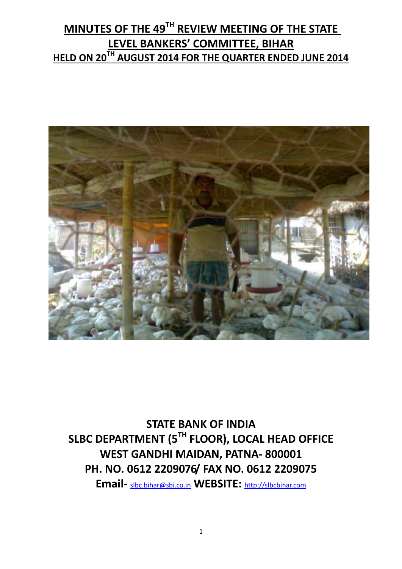# **MINUTES OF THE 49TH REVIEW MEETING OF THE STATE LEVEL BANKERS' COMMITTEE, BIHAR HELD ON 20TH AUGUST 2014 FOR THE QUARTER ENDED JUNE 2014**



**STATE BANK OF INDIA SLBC DEPARTMENT (5TH FLOOR), LOCAL HEAD OFFICE WEST GANDHI MAIDAN, PATNA- 800001 PH. NO. 0612 2209076/ FAX NO. 0612 2209075**

**Email-** [slbc.bihar@sbi.co.in](mailto:slbc.bihar@sbi.co.in) **WEBSITE:** [http://slbcbihar.com](http://slbcbihar.com/)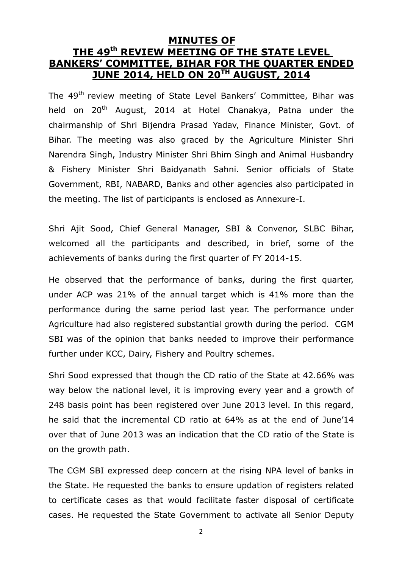### **MINUTES OF THE 49th REVIEW MEETING OF THE STATE LEVEL BANKERS' COMMITTEE, BIHAR FOR THE QUARTER ENDED JUNE 2014, HELD ON 20TH AUGUST, 2014**

The 49<sup>th</sup> review meeting of State Level Bankers' Committee, Bihar was held on 20<sup>th</sup> August, 2014 at Hotel Chanakya, Patna under the chairmanship of Shri Bijendra Prasad Yadav, Finance Minister, Govt. of Bihar. The meeting was also graced by the Agriculture Minister Shri Narendra Singh, Industry Minister Shri Bhim Singh and Animal Husbandry & Fishery Minister Shri Baidyanath Sahni. Senior officials of State Government, RBI, NABARD, Banks and other agencies also participated in the meeting. The list of participants is enclosed as Annexure-I.

Shri Ajit Sood, Chief General Manager, SBI & Convenor, SLBC Bihar, welcomed all the participants and described, in brief, some of the achievements of banks during the first quarter of FY 2014-15.

He observed that the performance of banks, during the first quarter, under ACP was 21% of the annual target which is 41% more than the performance during the same period last year. The performance under Agriculture had also registered substantial growth during the period. CGM SBI was of the opinion that banks needed to improve their performance further under KCC, Dairy, Fishery and Poultry schemes.

Shri Sood expressed that though the CD ratio of the State at 42.66% was way below the national level, it is improving every year and a growth of 248 basis point has been registered over June 2013 level. In this regard, he said that the incremental CD ratio at 64% as at the end of June'14 over that of June 2013 was an indication that the CD ratio of the State is on the growth path.

The CGM SBI expressed deep concern at the rising NPA level of banks in the State. He requested the banks to ensure updation of registers related to certificate cases as that would facilitate faster disposal of certificate cases. He requested the State Government to activate all Senior Deputy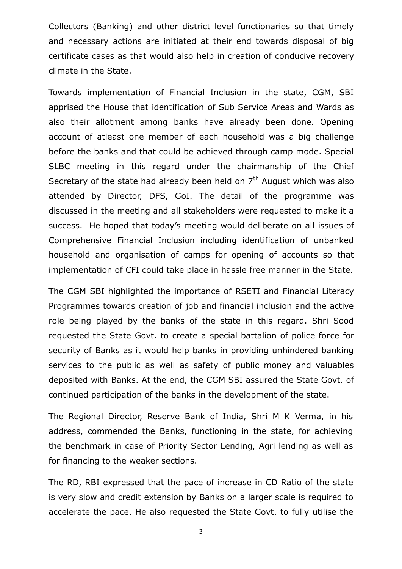Collectors (Banking) and other district level functionaries so that timely and necessary actions are initiated at their end towards disposal of big certificate cases as that would also help in creation of conducive recovery climate in the State.

Towards implementation of Financial Inclusion in the state, CGM, SBI apprised the House that identification of Sub Service Areas and Wards as also their allotment among banks have already been done. Opening account of atleast one member of each household was a big challenge before the banks and that could be achieved through camp mode. Special SLBC meeting in this regard under the chairmanship of the Chief Secretary of the state had already been held on  $7<sup>th</sup>$  August which was also attended by Director, DFS, GoI. The detail of the programme was discussed in the meeting and all stakeholders were requested to make it a success. He hoped that today's meeting would deliberate on all issues of Comprehensive Financial Inclusion including identification of unbanked household and organisation of camps for opening of accounts so that implementation of CFI could take place in hassle free manner in the State.

The CGM SBI highlighted the importance of RSETI and Financial Literacy Programmes towards creation of job and financial inclusion and the active role being played by the banks of the state in this regard. Shri Sood requested the State Govt. to create a special battalion of police force for security of Banks as it would help banks in providing unhindered banking services to the public as well as safety of public money and valuables deposited with Banks. At the end, the CGM SBI assured the State Govt. of continued participation of the banks in the development of the state.

The Regional Director, Reserve Bank of India, Shri M K Verma, in his address, commended the Banks, functioning in the state, for achieving the benchmark in case of Priority Sector Lending, Agri lending as well as for financing to the weaker sections.

The RD, RBI expressed that the pace of increase in CD Ratio of the state is very slow and credit extension by Banks on a larger scale is required to accelerate the pace. He also requested the State Govt. to fully utilise the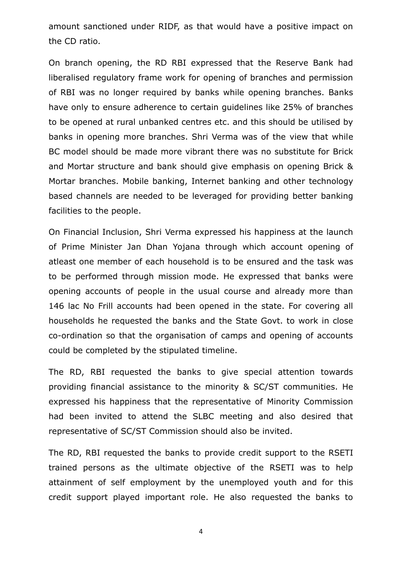amount sanctioned under RIDF, as that would have a positive impact on the CD ratio.

On branch opening, the RD RBI expressed that the Reserve Bank had liberalised regulatory frame work for opening of branches and permission of RBI was no longer required by banks while opening branches. Banks have only to ensure adherence to certain guidelines like 25% of branches to be opened at rural unbanked centres etc. and this should be utilised by banks in opening more branches. Shri Verma was of the view that while BC model should be made more vibrant there was no substitute for Brick and Mortar structure and bank should give emphasis on opening Brick & Mortar branches. Mobile banking, Internet banking and other technology based channels are needed to be leveraged for providing better banking facilities to the people.

On Financial Inclusion, Shri Verma expressed his happiness at the launch of Prime Minister Jan Dhan Yojana through which account opening of atleast one member of each household is to be ensured and the task was to be performed through mission mode. He expressed that banks were opening accounts of people in the usual course and already more than 146 lac No Frill accounts had been opened in the state. For covering all households he requested the banks and the State Govt. to work in close co-ordination so that the organisation of camps and opening of accounts could be completed by the stipulated timeline.

The RD, RBI requested the banks to give special attention towards providing financial assistance to the minority & SC/ST communities. He expressed his happiness that the representative of Minority Commission had been invited to attend the SLBC meeting and also desired that representative of SC/ST Commission should also be invited.

The RD, RBI requested the banks to provide credit support to the RSETI trained persons as the ultimate objective of the RSETI was to help attainment of self employment by the unemployed youth and for this credit support played important role. He also requested the banks to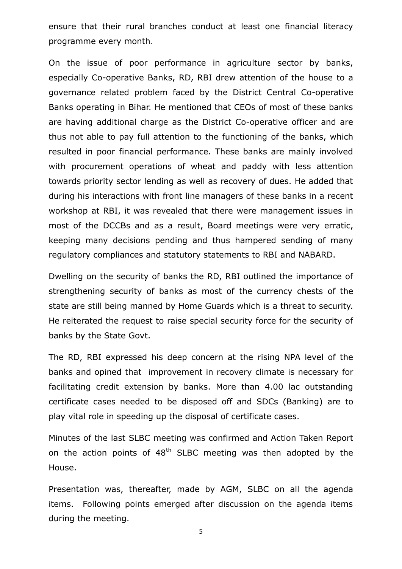ensure that their rural branches conduct at least one financial literacy programme every month.

On the issue of poor performance in agriculture sector by banks, especially Co-operative Banks, RD, RBI drew attention of the house to a governance related problem faced by the District Central Co-operative Banks operating in Bihar. He mentioned that CEOs of most of these banks are having additional charge as the District Co-operative officer and are thus not able to pay full attention to the functioning of the banks, which resulted in poor financial performance. These banks are mainly involved with procurement operations of wheat and paddy with less attention towards priority sector lending as well as recovery of dues. He added that during his interactions with front line managers of these banks in a recent workshop at RBI, it was revealed that there were management issues in most of the DCCBs and as a result, Board meetings were very erratic, keeping many decisions pending and thus hampered sending of many regulatory compliances and statutory statements to RBI and NABARD.

Dwelling on the security of banks the RD, RBI outlined the importance of strengthening security of banks as most of the currency chests of the state are still being manned by Home Guards which is a threat to security. He reiterated the request to raise special security force for the security of banks by the State Govt.

The RD, RBI expressed his deep concern at the rising NPA level of the banks and opined that improvement in recovery climate is necessary for facilitating credit extension by banks. More than 4.00 lac outstanding certificate cases needed to be disposed off and SDCs (Banking) are to play vital role in speeding up the disposal of certificate cases.

Minutes of the last SLBC meeting was confirmed and Action Taken Report on the action points of  $48<sup>th</sup>$  SLBC meeting was then adopted by the House.

Presentation was, thereafter, made by AGM, SLBC on all the agenda items. Following points emerged after discussion on the agenda items during the meeting.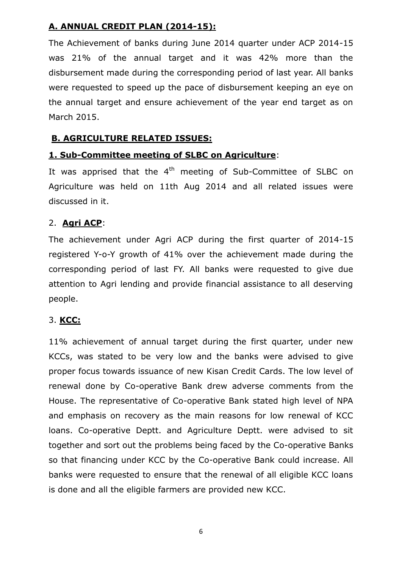### **A. ANNUAL CREDIT PLAN (2014-15):**

The Achievement of banks during June 2014 quarter under ACP 2014-15 was 21% of the annual target and it was 42% more than the disbursement made during the corresponding period of last year. All banks were requested to speed up the pace of disbursement keeping an eye on the annual target and ensure achievement of the year end target as on March 2015.

### **B. AGRICULTURE RELATED ISSUES:**

#### **1. Sub-Committee meeting of SLBC on Agriculture**:

It was apprised that the  $4<sup>th</sup>$  meeting of Sub-Committee of SLBC on Agriculture was held on 11th Aug 2014 and all related issues were discussed in it.

#### 2. **Agri ACP**:

The achievement under Agri ACP during the first quarter of 2014-15 registered Y-o-Y growth of 41% over the achievement made during the corresponding period of last FY. All banks were requested to give due attention to Agri lending and provide financial assistance to all deserving people.

#### 3. **KCC:**

11% achievement of annual target during the first quarter, under new KCCs, was stated to be very low and the banks were advised to give proper focus towards issuance of new Kisan Credit Cards. The low level of renewal done by Co-operative Bank drew adverse comments from the House. The representative of Co-operative Bank stated high level of NPA and emphasis on recovery as the main reasons for low renewal of KCC loans. Co-operative Deptt. and Agriculture Deptt. were advised to sit together and sort out the problems being faced by the Co-operative Banks so that financing under KCC by the Co-operative Bank could increase. All banks were requested to ensure that the renewal of all eligible KCC loans is done and all the eligible farmers are provided new KCC.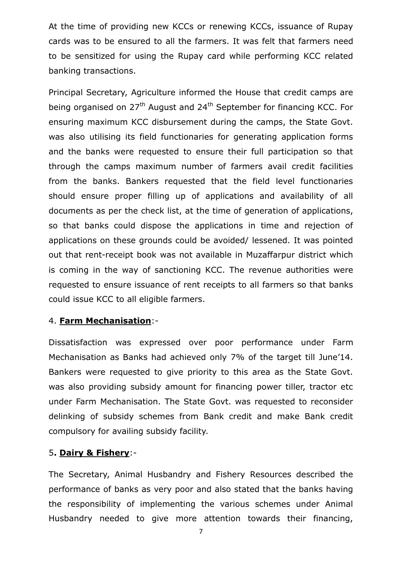At the time of providing new KCCs or renewing KCCs, issuance of Rupay cards was to be ensured to all the farmers. It was felt that farmers need to be sensitized for using the Rupay card while performing KCC related banking transactions.

Principal Secretary, Agriculture informed the House that credit camps are being organised on 27<sup>th</sup> August and 24<sup>th</sup> September for financing KCC. For ensuring maximum KCC disbursement during the camps, the State Govt. was also utilising its field functionaries for generating application forms and the banks were requested to ensure their full participation so that through the camps maximum number of farmers avail credit facilities from the banks. Bankers requested that the field level functionaries should ensure proper filling up of applications and availability of all documents as per the check list, at the time of generation of applications, so that banks could dispose the applications in time and rejection of applications on these grounds could be avoided/ lessened. It was pointed out that rent-receipt book was not available in Muzaffarpur district which is coming in the way of sanctioning KCC. The revenue authorities were requested to ensure issuance of rent receipts to all farmers so that banks could issue KCC to all eligible farmers.

#### 4. **Farm Mechanisation**:-

Dissatisfaction was expressed over poor performance under Farm Mechanisation as Banks had achieved only 7% of the target till June'14. Bankers were requested to give priority to this area as the State Govt. was also providing subsidy amount for financing power tiller, tractor etc under Farm Mechanisation. The State Govt. was requested to reconsider delinking of subsidy schemes from Bank credit and make Bank credit compulsory for availing subsidy facility.

#### 5**. Dairy & Fishery**:-

The Secretary, Animal Husbandry and Fishery Resources described the performance of banks as very poor and also stated that the banks having the responsibility of implementing the various schemes under Animal Husbandry needed to give more attention towards their financing,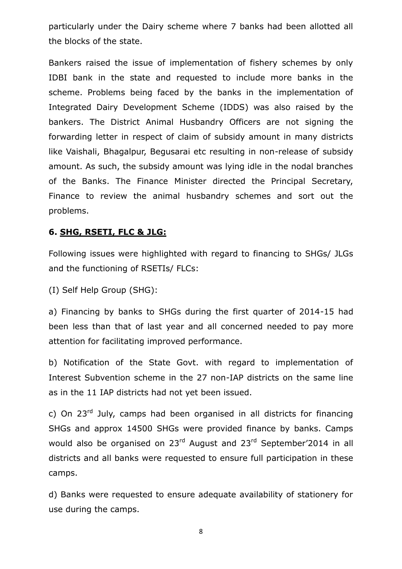particularly under the Dairy scheme where 7 banks had been allotted all the blocks of the state.

Bankers raised the issue of implementation of fishery schemes by only IDBI bank in the state and requested to include more banks in the scheme. Problems being faced by the banks in the implementation of Integrated Dairy Development Scheme (IDDS) was also raised by the bankers. The District Animal Husbandry Officers are not signing the forwarding letter in respect of claim of subsidy amount in many districts like Vaishali, Bhagalpur, Begusarai etc resulting in non-release of subsidy amount. As such, the subsidy amount was lying idle in the nodal branches of the Banks. The Finance Minister directed the Principal Secretary, Finance to review the animal husbandry schemes and sort out the problems.

#### **6. SHG, RSETI, FLC & JLG:**

Following issues were highlighted with regard to financing to SHGs/ JLGs and the functioning of RSETIs/ FLCs:

(I) Self Help Group (SHG):

a) Financing by banks to SHGs during the first quarter of 2014-15 had been less than that of last year and all concerned needed to pay more attention for facilitating improved performance.

b) Notification of the State Govt. with regard to implementation of Interest Subvention scheme in the 27 non-IAP districts on the same line as in the 11 IAP districts had not yet been issued.

c) On  $23<sup>rd</sup>$  July, camps had been organised in all districts for financing SHGs and approx 14500 SHGs were provided finance by banks. Camps would also be organised on 23<sup>rd</sup> August and 23<sup>rd</sup> September'2014 in all districts and all banks were requested to ensure full participation in these camps.

d) Banks were requested to ensure adequate availability of stationery for use during the camps.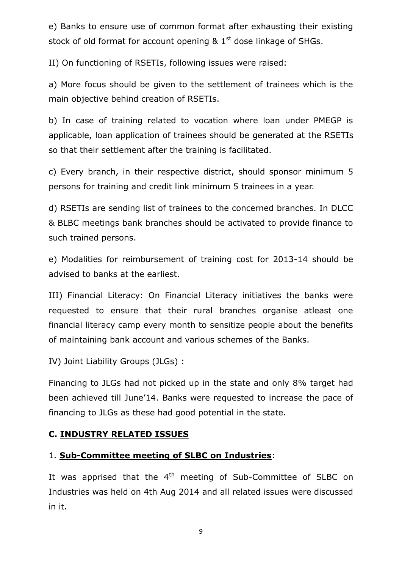e) Banks to ensure use of common format after exhausting their existing stock of old format for account opening  $\&$  1<sup>st</sup> dose linkage of SHGs.

II) On functioning of RSETIs, following issues were raised:

a) More focus should be given to the settlement of trainees which is the main objective behind creation of RSETIs.

b) In case of training related to vocation where loan under PMEGP is applicable, loan application of trainees should be generated at the RSETIs so that their settlement after the training is facilitated.

c) Every branch, in their respective district, should sponsor minimum 5 persons for training and credit link minimum 5 trainees in a year.

d) RSETIs are sending list of trainees to the concerned branches. In DLCC & BLBC meetings bank branches should be activated to provide finance to such trained persons.

e) Modalities for reimbursement of training cost for 2013-14 should be advised to banks at the earliest.

III) Financial Literacy: On Financial Literacy initiatives the banks were requested to ensure that their rural branches organise atleast one financial literacy camp every month to sensitize people about the benefits of maintaining bank account and various schemes of the Banks.

IV) Joint Liability Groups (JLGs) :

Financing to JLGs had not picked up in the state and only 8% target had been achieved till June'14. Banks were requested to increase the pace of financing to JLGs as these had good potential in the state.

#### **C. INDUSTRY RELATED ISSUES**

#### 1. **Sub-Committee meeting of SLBC on Industries**:

It was apprised that the  $4<sup>th</sup>$  meeting of Sub-Committee of SLBC on Industries was held on 4th Aug 2014 and all related issues were discussed in it.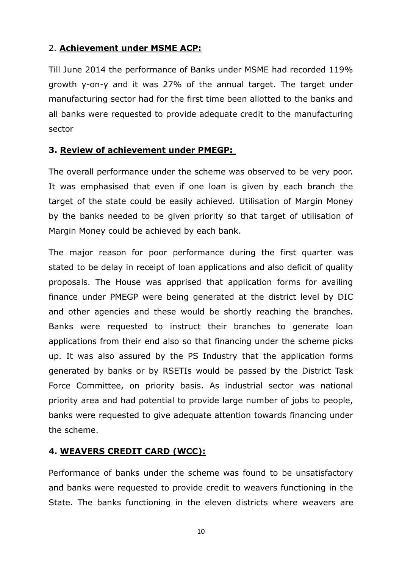### 2. **Achievement under MSME ACP:**

Till June 2014 the performance of Banks under MSME had recorded 119% growth y-on-y and it was 27% of the annual target. The target under manufacturing sector had for the first time been allotted to the banks and all banks were requested to provide adequate credit to the manufacturing sector

### **3. Review of achievement under PMEGP:**

The overall performance under the scheme was observed to be very poor. It was emphasised that even if one loan is given by each branch the target of the state could be easily achieved. Utilisation of Margin Money by the banks needed to be given priority so that target of utilisation of Margin Money could be achieved by each bank.

The major reason for poor performance during the first quarter was stated to be delay in receipt of loan applications and also deficit of quality proposals. The House was apprised that application forms for availing finance under PMEGP were being generated at the district level by DIC and other agencies and these would be shortly reaching the branches. Banks were requested to instruct their branches to generate loan applications from their end also so that financing under the scheme picks up. It was also assured by the PS Industry that the application forms generated by banks or by RSETIs would be passed by the District Task Force Committee, on priority basis. As industrial sector was national priority area and had potential to provide large number of jobs to people, banks were requested to give adequate attention towards financing under the scheme.

#### **4. WEAVERS CREDIT CARD (WCC):**

Performance of banks under the scheme was found to be unsatisfactory and banks were requested to provide credit to weavers functioning in the State. The banks functioning in the eleven districts where weavers are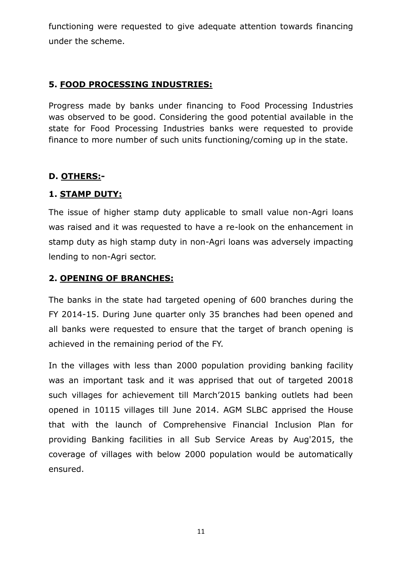functioning were requested to give adequate attention towards financing under the scheme.

### **5. FOOD PROCESSING INDUSTRIES:**

Progress made by banks under financing to Food Processing Industries was observed to be good. Considering the good potential available in the state for Food Processing Industries banks were requested to provide finance to more number of such units functioning/coming up in the state.

### **D. OTHERS:-**

#### **1. STAMP DUTY:**

The issue of higher stamp duty applicable to small value non-Agri loans was raised and it was requested to have a re-look on the enhancement in stamp duty as high stamp duty in non-Agri loans was adversely impacting lending to non-Agri sector.

#### **2. OPENING OF BRANCHES:**

The banks in the state had targeted opening of 600 branches during the FY 2014-15. During June quarter only 35 branches had been opened and all banks were requested to ensure that the target of branch opening is achieved in the remaining period of the FY.

In the villages with less than 2000 population providing banking facility was an important task and it was apprised that out of targeted 20018 such villages for achievement till March'2015 banking outlets had been opened in 10115 villages till June 2014. AGM SLBC apprised the House that with the launch of Comprehensive Financial Inclusion Plan for providing Banking facilities in all Sub Service Areas by Aug'2015, the coverage of villages with below 2000 population would be automatically ensured.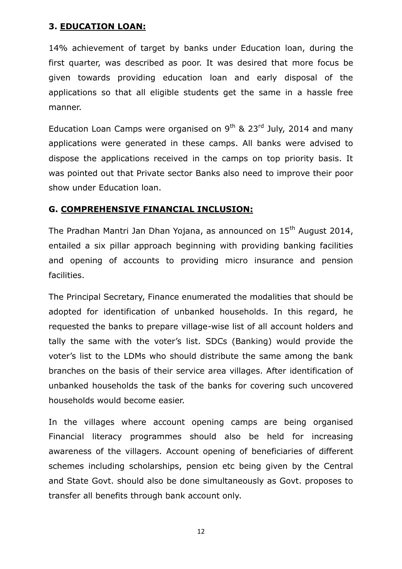#### **3. EDUCATION LOAN:**

14% achievement of target by banks under Education loan, during the first quarter, was described as poor. It was desired that more focus be given towards providing education loan and early disposal of the applications so that all eligible students get the same in a hassle free manner.

Education Loan Camps were organised on  $9<sup>th</sup>$  & 23<sup>rd</sup> July, 2014 and many applications were generated in these camps. All banks were advised to dispose the applications received in the camps on top priority basis. It was pointed out that Private sector Banks also need to improve their poor show under Education loan.

#### **G. COMPREHENSIVE FINANCIAL INCLUSION:**

The Pradhan Mantri Jan Dhan Yojana, as announced on 15<sup>th</sup> August 2014, entailed a six pillar approach beginning with providing banking facilities and opening of accounts to providing micro insurance and pension facilities.

The Principal Secretary, Finance enumerated the modalities that should be adopted for identification of unbanked households. In this regard, he requested the banks to prepare village-wise list of all account holders and tally the same with the voter's list. SDCs (Banking) would provide the voter's list to the LDMs who should distribute the same among the bank branches on the basis of their service area villages. After identification of unbanked households the task of the banks for covering such uncovered households would become easier.

In the villages where account opening camps are being organised Financial literacy programmes should also be held for increasing awareness of the villagers. Account opening of beneficiaries of different schemes including scholarships, pension etc being given by the Central and State Govt. should also be done simultaneously as Govt. proposes to transfer all benefits through bank account only.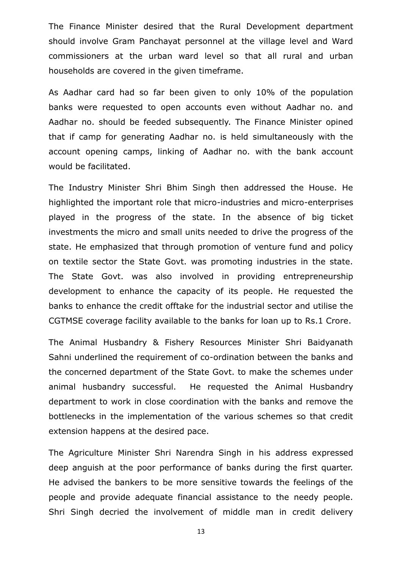The Finance Minister desired that the Rural Development department should involve Gram Panchayat personnel at the village level and Ward commissioners at the urban ward level so that all rural and urban households are covered in the given timeframe.

As Aadhar card had so far been given to only 10% of the population banks were requested to open accounts even without Aadhar no. and Aadhar no. should be feeded subsequently. The Finance Minister opined that if camp for generating Aadhar no. is held simultaneously with the account opening camps, linking of Aadhar no. with the bank account would be facilitated.

The Industry Minister Shri Bhim Singh then addressed the House. He highlighted the important role that micro-industries and micro-enterprises played in the progress of the state. In the absence of big ticket investments the micro and small units needed to drive the progress of the state. He emphasized that through promotion of venture fund and policy on textile sector the State Govt. was promoting industries in the state. The State Govt. was also involved in providing entrepreneurship development to enhance the capacity of its people. He requested the banks to enhance the credit offtake for the industrial sector and utilise the CGTMSE coverage facility available to the banks for loan up to Rs.1 Crore.

The Animal Husbandry & Fishery Resources Minister Shri Baidyanath Sahni underlined the requirement of co-ordination between the banks and the concerned department of the State Govt. to make the schemes under animal husbandry successful. He requested the Animal Husbandry department to work in close coordination with the banks and remove the bottlenecks in the implementation of the various schemes so that credit extension happens at the desired pace.

The Agriculture Minister Shri Narendra Singh in his address expressed deep anguish at the poor performance of banks during the first quarter. He advised the bankers to be more sensitive towards the feelings of the people and provide adequate financial assistance to the needy people. Shri Singh decried the involvement of middle man in credit delivery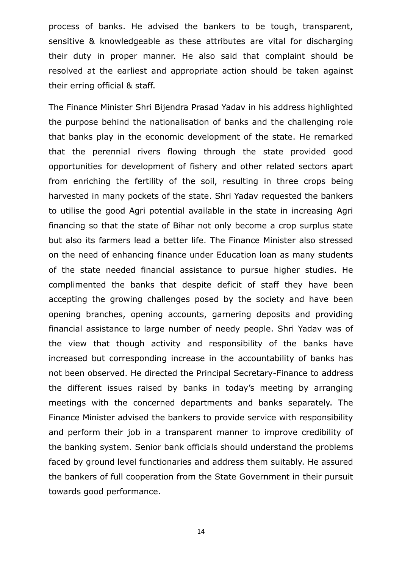process of banks. He advised the bankers to be tough, transparent, sensitive & knowledgeable as these attributes are vital for discharging their duty in proper manner. He also said that complaint should be resolved at the earliest and appropriate action should be taken against their erring official & staff.

The Finance Minister Shri Bijendra Prasad Yadav in his address highlighted the purpose behind the nationalisation of banks and the challenging role that banks play in the economic development of the state. He remarked that the perennial rivers flowing through the state provided good opportunities for development of fishery and other related sectors apart from enriching the fertility of the soil, resulting in three crops being harvested in many pockets of the state. Shri Yadav requested the bankers to utilise the good Agri potential available in the state in increasing Agri financing so that the state of Bihar not only become a crop surplus state but also its farmers lead a better life. The Finance Minister also stressed on the need of enhancing finance under Education loan as many students of the state needed financial assistance to pursue higher studies. He complimented the banks that despite deficit of staff they have been accepting the growing challenges posed by the society and have been opening branches, opening accounts, garnering deposits and providing financial assistance to large number of needy people. Shri Yadav was of the view that though activity and responsibility of the banks have increased but corresponding increase in the accountability of banks has not been observed. He directed the Principal Secretary-Finance to address the different issues raised by banks in today's meeting by arranging meetings with the concerned departments and banks separately. The Finance Minister advised the bankers to provide service with responsibility and perform their job in a transparent manner to improve credibility of the banking system. Senior bank officials should understand the problems faced by ground level functionaries and address them suitably. He assured the bankers of full cooperation from the State Government in their pursuit towards good performance.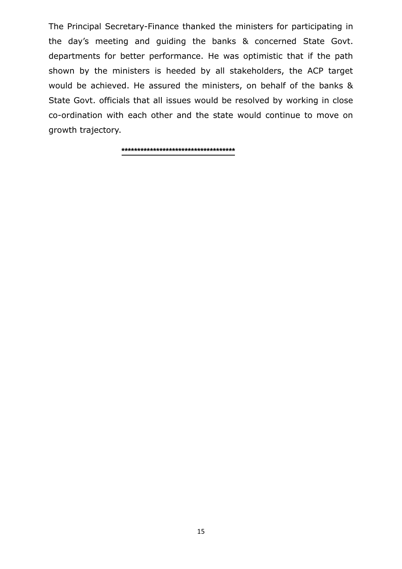The Principal Secretary-Finance thanked the ministers for participating in the day's meeting and guiding the banks & concerned State Govt. departments for better performance. He was optimistic that if the path shown by the ministers is heeded by all stakeholders, the ACP target would be achieved. He assured the ministers, on behalf of the banks & State Govt. officials that all issues would be resolved by working in close co-ordination with each other and the state would continue to move on growth trajectory.

**\*\*\*\*\*\*\*\*\*\*\*\*\*\*\*\*\*\*\*\*\*\*\*\*\*\*\*\*\*\*\*\*\*\*\*\***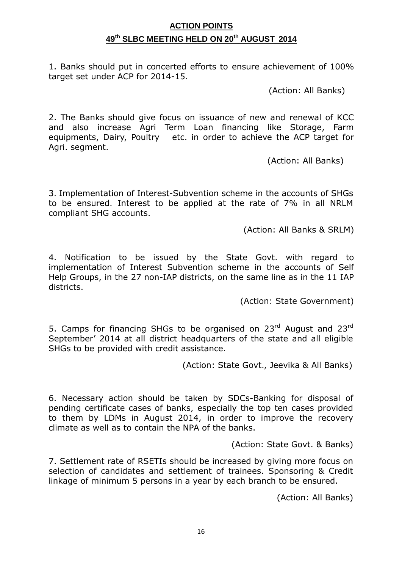### **ACTION POINTS 49 th SLBC MEETING HELD ON 20 th AUGUST 2014**

1. Banks should put in concerted efforts to ensure achievement of 100% target set under ACP for 2014-15.

(Action: All Banks)

2. The Banks should give focus on issuance of new and renewal of KCC and also increase Agri Term Loan financing like Storage, Farm equipments, Dairy, Poultry etc. in order to achieve the ACP target for Agri. segment.

(Action: All Banks)

3. Implementation of Interest-Subvention scheme in the accounts of SHGs to be ensured. Interest to be applied at the rate of 7% in all NRLM compliant SHG accounts.

(Action: All Banks & SRLM)

4. Notification to be issued by the State Govt. with regard to implementation of Interest Subvention scheme in the accounts of Self Help Groups, in the 27 non-IAP districts, on the same line as in the 11 IAP districts.

(Action: State Government)

5. Camps for financing SHGs to be organised on 23rd August and 23rd September' 2014 at all district headquarters of the state and all eligible SHGs to be provided with credit assistance.

(Action: State Govt., Jeevika & All Banks)

6. Necessary action should be taken by SDCs-Banking for disposal of pending certificate cases of banks, especially the top ten cases provided to them by LDMs in August 2014, in order to improve the recovery climate as well as to contain the NPA of the banks.

(Action: State Govt. & Banks)

7. Settlement rate of RSETIs should be increased by giving more focus on selection of candidates and settlement of trainees. Sponsoring & Credit linkage of minimum 5 persons in a year by each branch to be ensured.

(Action: All Banks)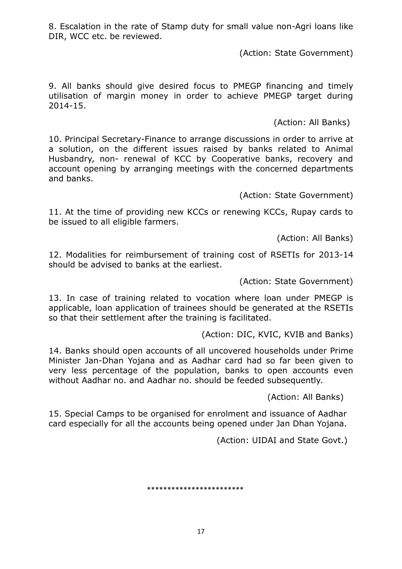8. Escalation in the rate of Stamp duty for small value non-Agri loans like DIR, WCC etc. be reviewed.

(Action: State Government)

9. All banks should give desired focus to PMEGP financing and timely utilisation of margin money in order to achieve PMEGP target during 2014-15.

(Action: All Banks)

10. Principal Secretary-Finance to arrange discussions in order to arrive at a solution, on the different issues raised by banks related to Animal Husbandry, non- renewal of KCC by Cooperative banks, recovery and account opening by arranging meetings with the concerned departments and banks.

(Action: State Government)

11. At the time of providing new KCCs or renewing KCCs, Rupay cards to be issued to all eligible farmers.

(Action: All Banks)

12. Modalities for reimbursement of training cost of RSETIs for 2013-14 should be advised to banks at the earliest.

(Action: State Government)

13. In case of training related to vocation where loan under PMEGP is applicable, loan application of trainees should be generated at the RSETIs so that their settlement after the training is facilitated.

(Action: DIC, KVIC, KVIB and Banks)

14. Banks should open accounts of all uncovered households under Prime Minister Jan-Dhan Yojana and as Aadhar card had so far been given to very less percentage of the population, banks to open accounts even without Aadhar no. and Aadhar no. should be feeded subsequently.

(Action: All Banks)

15. Special Camps to be organised for enrolment and issuance of Aadhar card especially for all the accounts being opened under Jan Dhan Yojana.

(Action: UIDAI and State Govt.)

\*\*\*\*\*\*\*\*\*\*\*\*\*\*\*\*\*\*\*\*\*\*\*\*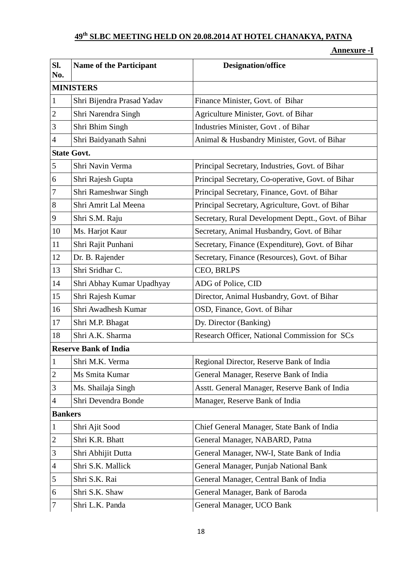## **th SLBC MEETING HELD ON 20.08.2014 AT HOTEL CHANAKYA, PATNA**

#### **Annexure -I**

| Sl.<br>No.                   | <b>Name of the Participant</b> | <b>Designation/office</b>                           |  |  |
|------------------------------|--------------------------------|-----------------------------------------------------|--|--|
| <b>MINISTERS</b>             |                                |                                                     |  |  |
| $\mathbf{1}$                 | Shri Bijendra Prasad Yadav     | Finance Minister, Govt. of Bihar                    |  |  |
| $\overline{c}$               | Shri Narendra Singh            | Agriculture Minister, Govt. of Bihar                |  |  |
| 3                            | Shri Bhim Singh                | Industries Minister, Govt. of Bihar                 |  |  |
| $\overline{4}$               | Shri Baidyanath Sahni          | Animal & Husbandry Minister, Govt. of Bihar         |  |  |
| <b>State Govt.</b>           |                                |                                                     |  |  |
| $\sqrt{5}$                   | Shri Navin Verma               | Principal Secretary, Industries, Govt. of Bihar     |  |  |
| 6                            | Shri Rajesh Gupta              | Principal Secretary, Co-operative, Govt. of Bihar   |  |  |
| $\boldsymbol{7}$             | Shri Rameshwar Singh           | Principal Secretary, Finance, Govt. of Bihar        |  |  |
| 8                            | Shri Amrit Lal Meena           | Principal Secretary, Agriculture, Govt. of Bihar    |  |  |
| 9                            | Shri S.M. Raju                 | Secretary, Rural Development Deptt., Govt. of Bihar |  |  |
| 10                           | Ms. Harjot Kaur                | Secretary, Animal Husbandry, Govt. of Bihar         |  |  |
| 11                           | Shri Rajit Punhani             | Secretary, Finance (Expenditure), Govt. of Bihar    |  |  |
| 12                           | Dr. B. Rajender                | Secretary, Finance (Resources), Govt. of Bihar      |  |  |
| 13                           | Shri Sridhar C.                | CEO, BRLPS                                          |  |  |
| 14                           | Shri Abhay Kumar Upadhyay      | ADG of Police, CID                                  |  |  |
| 15                           | Shri Rajesh Kumar              | Director, Animal Husbandry, Govt. of Bihar          |  |  |
| 16                           | Shri Awadhesh Kumar            | OSD, Finance, Govt. of Bihar                        |  |  |
| 17                           | Shri M.P. Bhagat               | Dy. Director (Banking)                              |  |  |
| 18                           | Shri A.K. Sharma               | Research Officer, National Commission for SCs       |  |  |
| <b>Reserve Bank of India</b> |                                |                                                     |  |  |
| $\mathbf{I}$                 | Shri M.K. Verma                | Regional Director, Reserve Bank of India            |  |  |
| $\overline{2}$               | Ms Smita Kumar                 | General Manager, Reserve Bank of India              |  |  |
| $\mathfrak{Z}$               | Ms. Shailaja Singh             | Asstt. General Manager, Reserve Bank of India       |  |  |
| $\overline{4}$               | Shri Devendra Bonde            | Manager, Reserve Bank of India                      |  |  |
| <b>Bankers</b>               |                                |                                                     |  |  |
| $\mathbf{1}$                 | Shri Ajit Sood                 | Chief General Manager, State Bank of India          |  |  |
| $\overline{c}$               | Shri K.R. Bhatt                | General Manager, NABARD, Patna                      |  |  |
| $\mathfrak{Z}$               | Shri Abhijit Dutta             | General Manager, NW-I, State Bank of India          |  |  |
| $\overline{4}$               | Shri S.K. Mallick              | General Manager, Punjab National Bank               |  |  |
| 5                            | Shri S.K. Rai                  | General Manager, Central Bank of India              |  |  |
| 6                            | Shri S.K. Shaw                 | General Manager, Bank of Baroda                     |  |  |
| 7                            | Shri L.K. Panda                | General Manager, UCO Bank                           |  |  |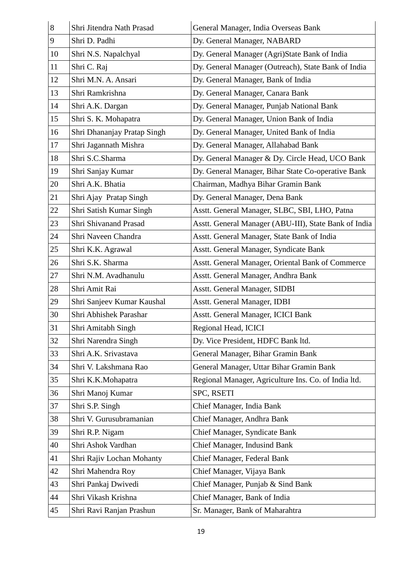| 8  | Shri Jitendra Nath Prasad   | General Manager, India Overseas Bank                  |
|----|-----------------------------|-------------------------------------------------------|
| 9  | Shri D. Padhi               | Dy. General Manager, NABARD                           |
| 10 | Shri N.S. Napalchyal        | Dy. General Manager (Agri)State Bank of India         |
| 11 | Shri C. Raj                 | Dy. General Manager (Outreach), State Bank of India   |
| 12 | Shri M.N. A. Ansari         | Dy. General Manager, Bank of India                    |
| 13 | Shri Ramkrishna             | Dy. General Manager, Canara Bank                      |
| 14 | Shri A.K. Dargan            | Dy. General Manager, Punjab National Bank             |
| 15 | Shri S. K. Mohapatra        | Dy. General Manager, Union Bank of India              |
| 16 | Shri Dhananjay Pratap Singh | Dy. General Manager, United Bank of India             |
| 17 | Shri Jagannath Mishra       | Dy. General Manager, Allahabad Bank                   |
| 18 | Shri S.C.Sharma             | Dy. General Manager & Dy. Circle Head, UCO Bank       |
| 19 | Shri Sanjay Kumar           | Dy. General Manager, Bihar State Co-operative Bank    |
| 20 | Shri A.K. Bhatia            | Chairman, Madhya Bihar Gramin Bank                    |
| 21 | Shri Ajay Pratap Singh      | Dy. General Manager, Dena Bank                        |
| 22 | Shri Satish Kumar Singh     | Asstt. General Manager, SLBC, SBI, LHO, Patna         |
| 23 | Shri Shivanand Prasad       | Asstt. General Manager (ABU-III), State Bank of India |
| 24 | Shri Naveen Chandra         | Asstt. General Manager, State Bank of India           |
| 25 | Shri K.K. Agrawal           | Asstt. General Manager, Syndicate Bank                |
| 26 | Shri S.K. Sharma            | Asstt. General Manager, Oriental Bank of Commerce     |
| 27 | Shri N.M. Avadhanulu        | Asstt. General Manager, Andhra Bank                   |
| 28 | Shri Amit Rai               | <b>Asstt. General Manager, SIDBI</b>                  |
| 29 | Shri Sanjeev Kumar Kaushal  | Asstt. General Manager, IDBI                          |
| 30 | Shri Abhishek Parashar      | Asstt. General Manager, ICICI Bank                    |
| 31 | Shri Amitabh Singh          | Regional Head, ICICI                                  |
| 32 | Shri Narendra Singh         | Dy. Vice President, HDFC Bank ltd.                    |
| 33 | Shri A.K. Srivastava        | General Manager, Bihar Gramin Bank                    |
| 34 | Shri V. Lakshmana Rao       | General Manager, Uttar Bihar Gramin Bank              |
| 35 | Shri K.K.Mohapatra          | Regional Manager, Agriculture Ins. Co. of India ltd.  |
| 36 | Shri Manoj Kumar            | SPC, RSETI                                            |
| 37 | Shri S.P. Singh             | Chief Manager, India Bank                             |
| 38 | Shri V. Gurusubramanian     | Chief Manager, Andhra Bank                            |
| 39 | Shri R.P. Nigam             | Chief Manager, Syndicate Bank                         |
| 40 | Shri Ashok Vardhan          | Chief Manager, Indusind Bank                          |
| 41 | Shri Rajiv Lochan Mohanty   | Chief Manager, Federal Bank                           |
| 42 | Shri Mahendra Roy           | Chief Manager, Vijaya Bank                            |
| 43 | Shri Pankaj Dwivedi         | Chief Manager, Punjab & Sind Bank                     |
| 44 | Shri Vikash Krishna         | Chief Manager, Bank of India                          |
| 45 | Shri Ravi Ranjan Prashun    | Sr. Manager, Bank of Maharahtra                       |